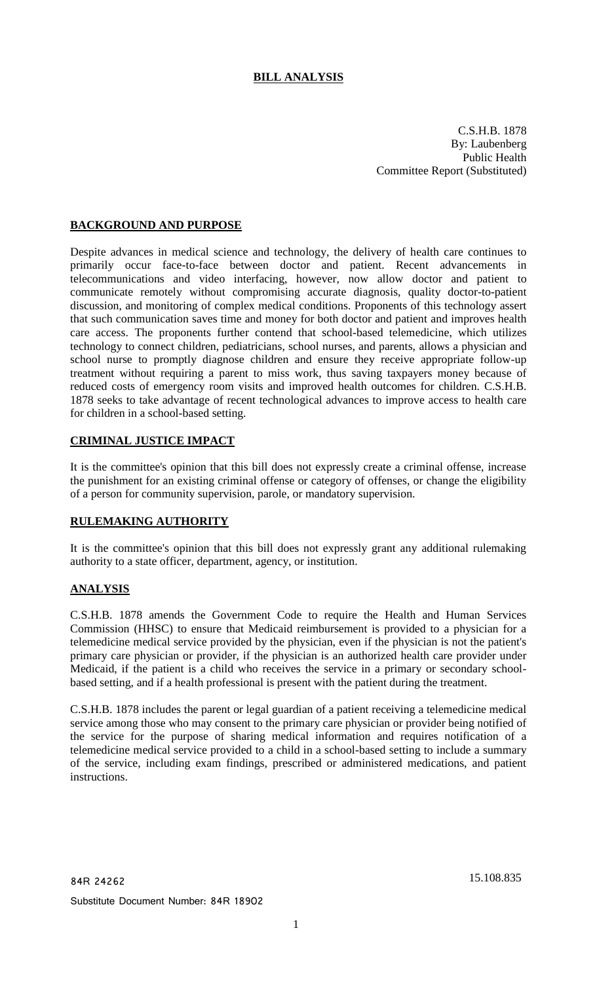# **BILL ANALYSIS**

C.S.H.B. 1878 By: Laubenberg Public Health Committee Report (Substituted)

## **BACKGROUND AND PURPOSE**

Despite advances in medical science and technology, the delivery of health care continues to primarily occur face-to-face between doctor and patient. Recent advancements in telecommunications and video interfacing, however, now allow doctor and patient to communicate remotely without compromising accurate diagnosis, quality doctor-to-patient discussion, and monitoring of complex medical conditions. Proponents of this technology assert that such communication saves time and money for both doctor and patient and improves health care access. The proponents further contend that school-based telemedicine, which utilizes technology to connect children, pediatricians, school nurses, and parents, allows a physician and school nurse to promptly diagnose children and ensure they receive appropriate follow-up treatment without requiring a parent to miss work, thus saving taxpayers money because of reduced costs of emergency room visits and improved health outcomes for children. C.S.H.B. 1878 seeks to take advantage of recent technological advances to improve access to health care for children in a school-based setting.

## **CRIMINAL JUSTICE IMPACT**

It is the committee's opinion that this bill does not expressly create a criminal offense, increase the punishment for an existing criminal offense or category of offenses, or change the eligibility of a person for community supervision, parole, or mandatory supervision.

## **RULEMAKING AUTHORITY**

It is the committee's opinion that this bill does not expressly grant any additional rulemaking authority to a state officer, department, agency, or institution.

## **ANALYSIS**

C.S.H.B. 1878 amends the Government Code to require the Health and Human Services Commission (HHSC) to ensure that Medicaid reimbursement is provided to a physician for a telemedicine medical service provided by the physician, even if the physician is not the patient's primary care physician or provider, if the physician is an authorized health care provider under Medicaid, if the patient is a child who receives the service in a primary or secondary schoolbased setting, and if a health professional is present with the patient during the treatment.

C.S.H.B. 1878 includes the parent or legal guardian of a patient receiving a telemedicine medical service among those who may consent to the primary care physician or provider being notified of the service for the purpose of sharing medical information and requires notification of a telemedicine medical service provided to a child in a school-based setting to include a summary of the service, including exam findings, prescribed or administered medications, and patient instructions.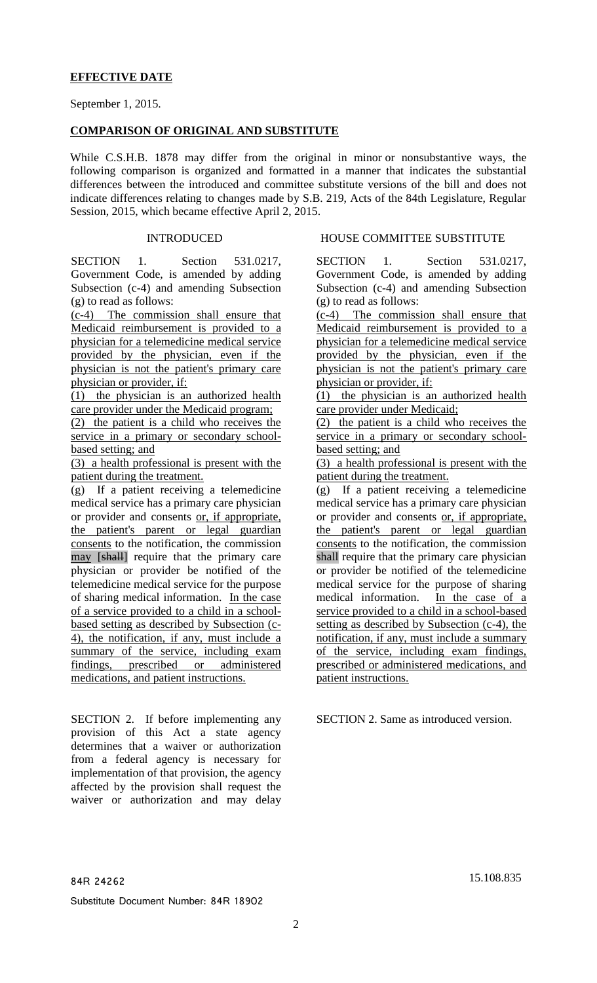#### **EFFECTIVE DATE**

September 1, 2015.

#### **COMPARISON OF ORIGINAL AND SUBSTITUTE**

While C.S.H.B. 1878 may differ from the original in minor or nonsubstantive ways, the following comparison is organized and formatted in a manner that indicates the substantial differences between the introduced and committee substitute versions of the bill and does not indicate differences relating to changes made by S.B. 219, Acts of the 84th Legislature, Regular Session, 2015, which became effective April 2, 2015.

SECTION 1. Section 531.0217. Government Code, is amended by adding Subsection (c-4) and amending Subsection (g) to read as follows:

(c-4) The commission shall ensure that Medicaid reimbursement is provided to a physician for a telemedicine medical service provided by the physician, even if the physician is not the patient's primary care physician or provider, if:

(1) the physician is an authorized health care provider under the Medicaid program;

(2) the patient is a child who receives the service in a primary or secondary schoolbased setting; and

(3) a health professional is present with the patient during the treatment.

(g) If a patient receiving a telemedicine medical service has a primary care physician or provider and consents or, if appropriate, the patient's parent or legal guardian consents to the notification, the commission may [shall] require that the primary care physician or provider be notified of the telemedicine medical service for the purpose of sharing medical information. In the case of a service provided to a child in a schoolbased setting as described by Subsection (c-4), the notification, if any, must include a summary of the service, including exam findings, prescribed or administered medications, and patient instructions.

SECTION 2. If before implementing any provision of this Act a state agency determines that a waiver or authorization from a federal agency is necessary for implementation of that provision, the agency affected by the provision shall request the waiver or authorization and may delay

#### INTRODUCED HOUSE COMMITTEE SUBSTITUTE

SECTION 1. Section 531,0217. Government Code, is amended by adding Subsection (c-4) and amending Subsection (g) to read as follows:

(c-4) The commission shall ensure that Medicaid reimbursement is provided to a physician for a telemedicine medical service provided by the physician, even if the physician is not the patient's primary care physician or provider, if:

(1) the physician is an authorized health care provider under Medicaid;

(2) the patient is a child who receives the service in a primary or secondary schoolbased setting; and

(3) a health professional is present with the patient during the treatment.

(g) If a patient receiving a telemedicine medical service has a primary care physician or provider and consents or, if appropriate, the patient's parent or legal guardian consents to the notification, the commission shall require that the primary care physician or provider be notified of the telemedicine medical service for the purpose of sharing medical information. In the case of a service provided to a child in a school-based setting as described by Subsection (c-4), the notification, if any, must include a summary of the service, including exam findings, prescribed or administered medications, and patient instructions.

SECTION 2. Same as introduced version.

84R 24262

Substitute Document Number: 84R 18902